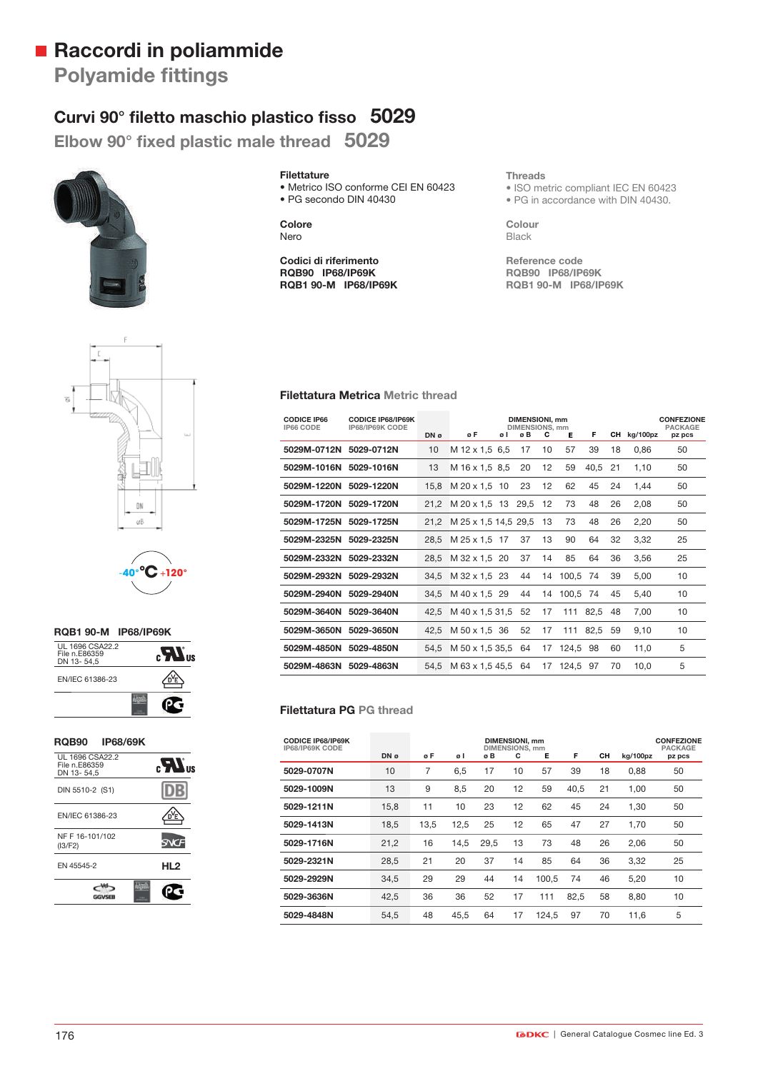# **Raccordi in poliammide**

**Polyamide fittings** 

# Curvi 90° filetto maschio plastico fisso 5029

Elbow 90° fixed plastic male thread 5029



**Filettature** 

• Metrico ISO conforme CEI EN 60423 • PG secondo DIN 40430

**Colore** Nero

**Codici di riferimento RQB90 IP68/IP69K RQB1 90-M IP68/IP69K** **Threads**

• ISO metric compliant IEC EN 60423 • PG in accordance with DIN 40430.

**Colour** Black

**Reference code RQB90 IP68/IP69K RQB1 90-M IP68/IP69K**



-**40°°C**+**120°**

## **RQB1 90-M IP68/IP69K** UL 1696 CSA22.2 File n.E86359 DN 13- 54,5  $\mathbf{R}$ <sub>us</sub> EN/IEC 61386-23 ⚠ Œ

#### **RQB90 IP68/69K**

| UL 1696 CSA22.2<br>File n.E86359<br>DN 13-54.5 | $_{\rm eff}$ $\boldsymbol{M}_{\rm B}$ |
|------------------------------------------------|---------------------------------------|
| DIN 5510-2 (S1)                                |                                       |
| EN/IEC 61386-23                                |                                       |
| NF F 16-101/102<br>(13/F2)                     | W                                     |
| EN 45545-2                                     | HL <sub>2</sub>                       |
|                                                |                                       |

| <b>Filettatura Metrica Metric thread</b> |  |  |
|------------------------------------------|--|--|
|------------------------------------------|--|--|

| <b>CODICE IP66</b><br>IP66 CODE | <b>CODICE IP68/IP69K</b><br>IP68/IP69K CODE | DN ø | øF                   | øΙ | <b>DIMENSIONI, mm</b><br>DIMENSIONS, mm<br>øΒ | c  | Е           | F.       |    | CH kg/100pz | <b>CONFEZIONE</b><br><b>PACKAGE</b><br>pz pcs |
|---------------------------------|---------------------------------------------|------|----------------------|----|-----------------------------------------------|----|-------------|----------|----|-------------|-----------------------------------------------|
| 5029M-0712N 5029-0712N          |                                             | 10   | M 12 x 1.5 6.5       |    | 17                                            | 10 | 57          | 39       | 18 | 0,86        | 50                                            |
| 5029M-1016N 5029-1016N          |                                             | 13   | M 16 x 1.5 8.5       |    | 20                                            | 12 | 59          | 40,5     | 21 | 1,10        | 50                                            |
| 5029M-1220N 5029-1220N          |                                             | 15.8 | M 20 x 1,5 10        |    | 23                                            | 12 | 62          | 45       | 24 | 1,44        | 50                                            |
| 5029M-1720N 5029-1720N          |                                             | 21.2 | M 20 x 1.5 13 29.5   |    |                                               | 12 | 73          | 48       | 26 | 2,08        | 50                                            |
| 5029M-1725N 5029-1725N          |                                             | 21.2 | M 25 x 1,5 14,5 29,5 |    |                                               | 13 | 73          | 48       | 26 | 2,20        | 50                                            |
| 5029M-2325N 5029-2325N          |                                             | 28.5 | M 25 x 1.5 17        |    | 37                                            | 13 | 90          | 64       | 32 | 3,32        | 25                                            |
| 5029M-2332N 5029-2332N          |                                             | 28,5 | M 32 x 1.5 20        |    | 37                                            | 14 | 85          | 64       | 36 | 3,56        | 25                                            |
| 5029M-2932N 5029-2932N          |                                             | 34.5 | M 32 x 1,5 23        |    | 44                                            |    | 14 100.5    | 74       | 39 | 5,00        | 10                                            |
| 5029M-2940N 5029-2940N          |                                             | 34,5 | M 40 x 1,5 29        |    | 44                                            |    | 14 100.5 74 |          | 45 | 5,40        | 10                                            |
| 5029M-3640N 5029-3640N          |                                             | 42.5 | M 40 x 1,5 31,5      |    | 52                                            | 17 |             | 111 82,5 | 48 | 7,00        | 10                                            |
| 5029M-3650N 5029-3650N          |                                             | 42,5 | M 50 x 1,5 36        |    | 52                                            | 17 |             | 111 82,5 | 59 | 9,10        | 10                                            |
| 5029M-4850N 5029-4850N          |                                             | 54.5 | M 50 x 1,5 35,5 64   |    |                                               |    | 17 124,5    | 98       | 60 | 11.0        | 5                                             |
| 5029M-4863N 5029-4863N          |                                             | 54.5 | M 63 x 1,5 45,5      |    | 64                                            |    | 17 124.5 97 |          | 70 | 10,0        | 5                                             |

### **Filettatura PG PG thread**

| <b>CODICE IP68/IP69K</b><br>IP68/IP69K CODE | DN ø | øΕ   | øΙ   | øB   | DIMENSIONI, mm<br><b>DIMENSIONS, mm</b><br>c | Е     | F    | CН | kg/100pz | <b>CONFEZIONE</b><br><b>PACKAGE</b><br>pz pcs |
|---------------------------------------------|------|------|------|------|----------------------------------------------|-------|------|----|----------|-----------------------------------------------|
| 5029-0707N                                  | 10   | 7    | 6,5  | 17   | 10                                           | 57    | 39   | 18 | 0,88     | 50                                            |
| 5029-1009N                                  | 13   | 9    | 8,5  | 20   | 12                                           | 59    | 40.5 | 21 | 1.00     | 50                                            |
| 5029-1211N                                  | 15,8 | 11   | 10   | 23   | 12                                           | 62    | 45   | 24 | 1,30     | 50                                            |
| 5029-1413N                                  | 18,5 | 13,5 | 12,5 | 25   | 12                                           | 65    | 47   | 27 | 1,70     | 50                                            |
| 5029-1716N                                  | 21,2 | 16   | 14,5 | 29,5 | 13                                           | 73    | 48   | 26 | 2,06     | 50                                            |
| 5029-2321N                                  | 28,5 | 21   | 20   | 37   | 14                                           | 85    | 64   | 36 | 3,32     | 25                                            |
| 5029-2929N                                  | 34,5 | 29   | 29   | 44   | 14                                           | 100,5 | 74   | 46 | 5,20     | 10                                            |
| 5029-3636N                                  | 42,5 | 36   | 36   | 52   | 17                                           | 111   | 82.5 | 58 | 8,80     | 10                                            |
| 5029-4848N                                  | 54,5 | 48   | 45,5 | 64   | 17                                           | 124,5 | 97   | 70 | 11,6     | 5                                             |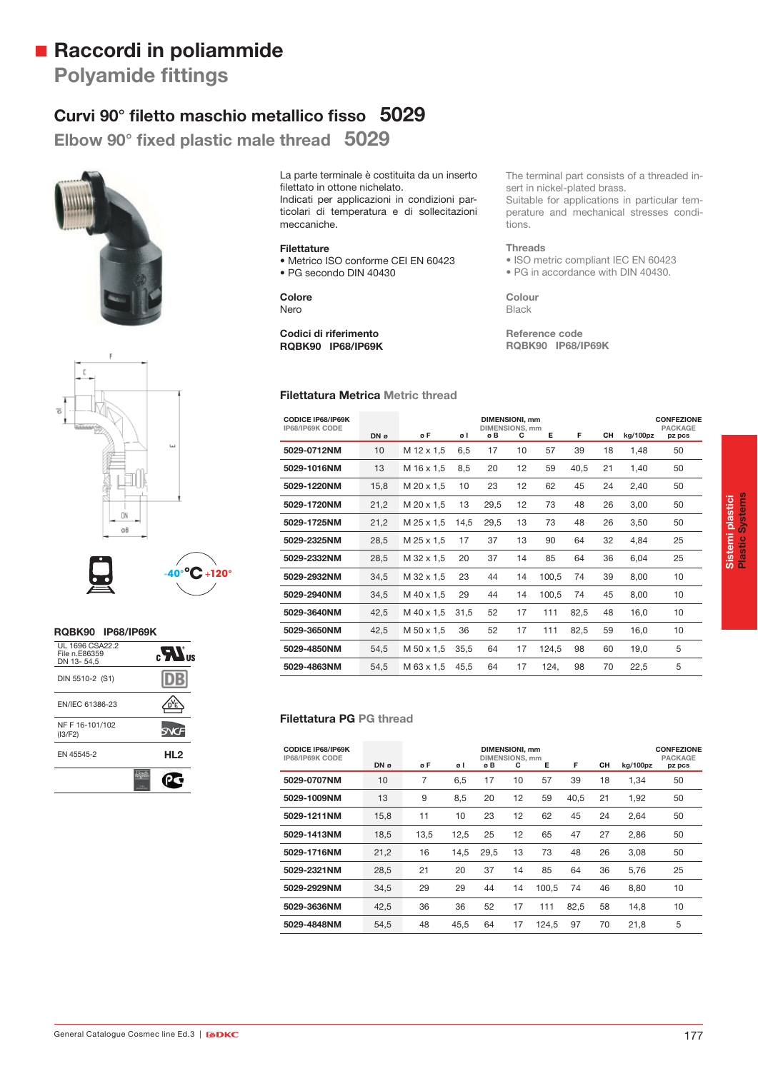# **Raccordi in poliammide**

**Polyamide fittings** 

# Curvi 90° filetto maschio metallico fisso 5029

Elbow 90° fixed plastic male thread 5029



La parte terminale è costituita da un inserto filettato in ottone nichelato. Indicati per applicazioni in condizioni particolari di temperatura e di sollecitazioni meccaniche.

#### **Filettature**

• Metrico ISO conforme CEI EN 60423 • PG secondo DIN 40430

**Colore** Nero

#### **Codici di riferimento RQBK90 IP68/IP69K**

#### **Filettatura Metrica Metric thread**

The terminal part consists of a threaded insert in nickel-plated brass.

Suitable for applications in particular temperature and mechanical stresses conditions.

#### **Threads**

• ISO metric compliant IEC EN 60423 • PG in accordance with DIN 40430.

**Colour** Black

**Reference code RQBK90 IP68/IP69K**





#### **RQBK90 IP68/IP69K**

| UL 1696 CSA22.2<br>File n.E86359<br>DN 13-54.5 | K.              |  |
|------------------------------------------------|-----------------|--|
| DIN 5510-2 (S1)                                |                 |  |
| EN/IEC 61386-23                                |                 |  |
| NF F 16-101/102<br>(13/F2)                     |                 |  |
| EN 45545-2                                     | HL <sub>2</sub> |  |
|                                                |                 |  |

| <b>CODICE IP68/IP69K</b><br>IP68/IP69K CODE |      |            |      | DIMENSIONI, mm<br><b>DIMENSIONS, mm</b> |    |       |      |    |          | <b>CONFEZIONE</b><br><b>PACKAGE</b> |
|---------------------------------------------|------|------------|------|-----------------------------------------|----|-------|------|----|----------|-------------------------------------|
|                                             | DN ø | øF         | øΙ   | øΒ                                      | с  | Е     | F    | CН | kg/100pz | pz pcs                              |
| 5029-0712NM                                 | 10   | M 12 x 1,5 | 6,5  | 17                                      | 10 | 57    | 39   | 18 | 1,48     | 50                                  |
| 5029-1016NM                                 | 13   | M 16 x 1,5 | 8,5  | 20                                      | 12 | 59    | 40,5 | 21 | 1,40     | 50                                  |
| 5029-1220NM                                 | 15,8 | M 20 x 1.5 | 10   | 23                                      | 12 | 62    | 45   | 24 | 2,40     | 50                                  |
| 5029-1720NM                                 | 21,2 | M 20 x 1.5 | 13   | 29,5                                    | 12 | 73    | 48   | 26 | 3,00     | 50                                  |
| 5029-1725NM                                 | 21,2 | M 25 x 1,5 | 14,5 | 29,5                                    | 13 | 73    | 48   | 26 | 3,50     | 50                                  |
| 5029-2325NM                                 | 28,5 | M 25 x 1,5 | 17   | 37                                      | 13 | 90    | 64   | 32 | 4,84     | 25                                  |
| 5029-2332NM                                 | 28,5 | M 32 x 1.5 | 20   | 37                                      | 14 | 85    | 64   | 36 | 6,04     | 25                                  |
| 5029-2932NM                                 | 34,5 | M 32 x 1,5 | 23   | 44                                      | 14 | 100,5 | 74   | 39 | 8,00     | 10                                  |
| 5029-2940NM                                 | 34,5 | M 40 x 1.5 | 29   | 44                                      | 14 | 100.5 | 74   | 45 | 8,00     | 10                                  |
| 5029-3640NM                                 | 42,5 | M 40 x 1,5 | 31.5 | 52                                      | 17 | 111   | 82,5 | 48 | 16,0     | 10                                  |
| 5029-3650NM                                 | 42,5 | M 50 x 1,5 | 36   | 52                                      | 17 | 111   | 82,5 | 59 | 16,0     | 10                                  |
| 5029-4850NM                                 | 54,5 | M 50 x 1,5 | 35,5 | 64                                      | 17 | 124,5 | 98   | 60 | 19,0     | 5                                   |
| 5029-4863NM                                 | 54,5 | M 63 x 1.5 | 45.5 | 64                                      | 17 | 124,  | 98   | 70 | 22,5     | 5                                   |

## **Filettatura PG PG thread**

| <b>CODICE IP68/IP69K</b><br>IP68/IP69K CODE | DN ø | øF   | øΙ   | øΒ   | <b>DIMENSIONI, mm</b><br><b>DIMENSIONS, mm</b><br>С | Е     | F    | CН | kg/100pz | <b>CONFEZIONE</b><br><b>PACKAGE</b><br>pz pcs |
|---------------------------------------------|------|------|------|------|-----------------------------------------------------|-------|------|----|----------|-----------------------------------------------|
| 5029-0707NM                                 | 10   | 7    | 6,5  | 17   | 10                                                  | 57    | 39   | 18 | 1,34     | 50                                            |
| 5029-1009NM                                 | 13   | 9    | 8,5  | 20   | 12                                                  | 59    | 40.5 | 21 | 1,92     | 50                                            |
| 5029-1211NM                                 | 15,8 | 11   | 10   | 23   | 12                                                  | 62    | 45   | 24 | 2,64     | 50                                            |
| 5029-1413NM                                 | 18,5 | 13.5 | 12,5 | 25   | 12                                                  | 65    | 47   | 27 | 2.86     | 50                                            |
| 5029-1716NM                                 | 21,2 | 16   | 14,5 | 29.5 | 13                                                  | 73    | 48   | 26 | 3.08     | 50                                            |
| 5029-2321NM                                 | 28,5 | 21   | 20   | 37   | 14                                                  | 85    | 64   | 36 | 5.76     | 25                                            |
| 5029-2929NM                                 | 34,5 | 29   | 29   | 44   | 14                                                  | 100,5 | 74   | 46 | 8,80     | 10                                            |
| 5029-3636NM                                 | 42,5 | 36   | 36   | 52   | 17                                                  | 111   | 82,5 | 58 | 14,8     | 10                                            |
| 5029-4848NM                                 | 54,5 | 48   | 45,5 | 64   | 17                                                  | 124.5 | 97   | 70 | 21,8     | 5                                             |